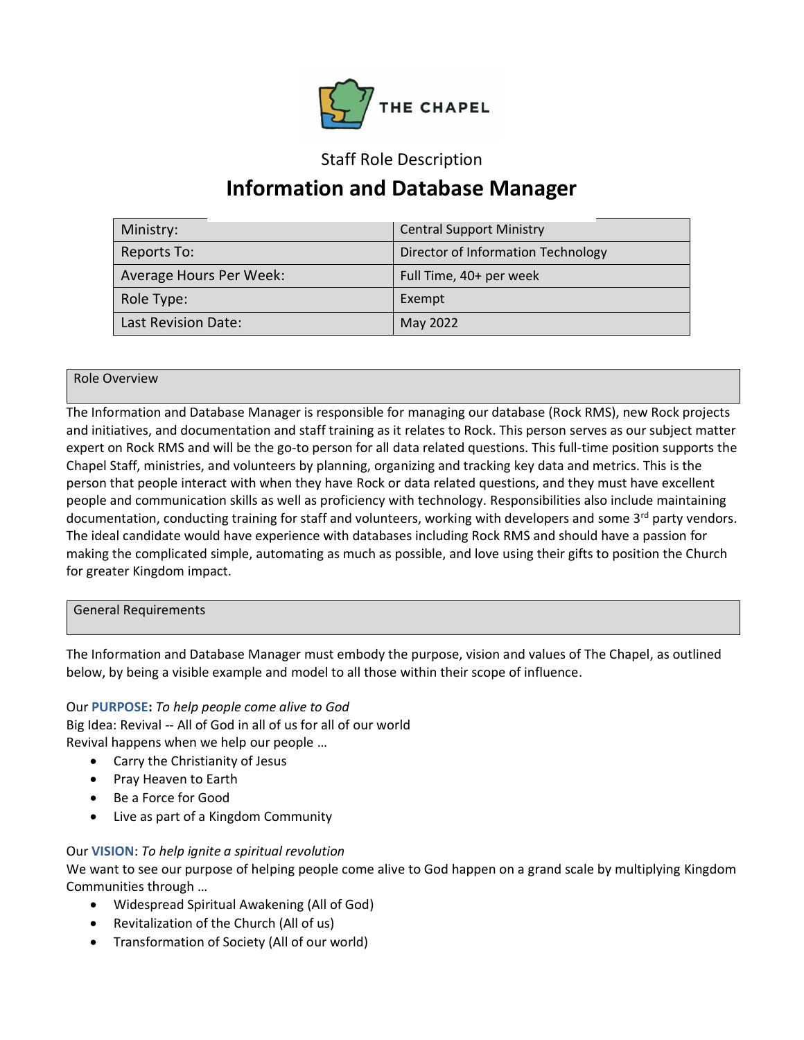

## Staff Role Description

# **Information and Database Manager**

| Ministry:               | <b>Central Support Ministry</b>    |
|-------------------------|------------------------------------|
| Reports To:             | Director of Information Technology |
| Average Hours Per Week: | Full Time, 40+ per week            |
| Role Type:              | Exempt                             |
| Last Revision Date:     | May 2022                           |

### Role Overview

The Information and Database Manager is responsible for managing our database (Rock RMS), new Rock projects and initiatives, and documentation and staff training as it relates to Rock. This person serves as our subject matter expert on Rock RMS and will be the go-to person for all data related questions. This full-time position supports the Chapel Staff, ministries, and volunteers by planning, organizing and tracking key data and metrics. This is the person that people interact with when they have Rock or data related questions, and they must have excellent people and communication skills as well as proficiency with technology. Responsibilities also include maintaining documentation, conducting training for staff and volunteers, working with developers and some 3rd party vendors. The ideal candidate would have experience with databases including Rock RMS and should have a passion for making the complicated simple, automating as much as possible, and love using their gifts to position the Church for greater Kingdom impact.

### General Requirements

The Information and Database Manager must embody the purpose, vision and values of The Chapel, as outlined below, by being a visible example and model to all those within their scope of influence.

## Our **PURPOSE:** *To help people come alive to God*

Big Idea: Revival -- All of God in all of us for all of our world Revival happens when we help our people …

- Carry the Christianity of Jesus
- Pray Heaven to Earth
- Be a Force for Good
- Live as part of a Kingdom Community

## Our **VISION**: *To help ignite a spiritual revolution*

We want to see our purpose of helping people come alive to God happen on a grand scale by multiplying Kingdom Communities through …

- Widespread Spiritual Awakening (All of God)
- Revitalization of the Church (All of us)
- Transformation of Society (All of our world)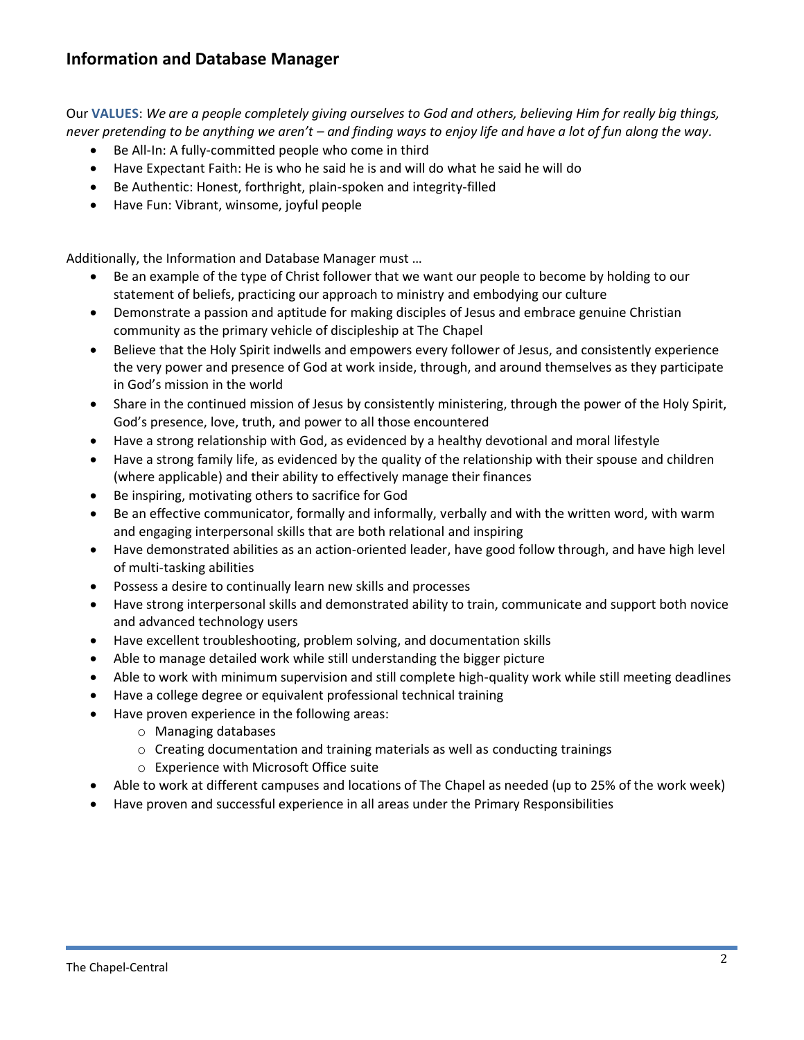# **Information and Database Manager**

Our **VALUES**: *We are a people completely giving ourselves to God and others, believing Him for really big things, never pretending to be anything we aren't – and finding ways to enjoy life and have a lot of fun along the way.*

- Be All-In: A fully-committed people who come in third
- Have Expectant Faith: He is who he said he is and will do what he said he will do
- Be Authentic: Honest, forthright, plain-spoken and integrity-filled
- Have Fun: Vibrant, winsome, joyful people

Additionally, the Information and Database Manager must …

- Be an example of the type of Christ follower that we want our people to become by holding to our statement of beliefs, practicing our approach to ministry and embodying our culture
- Demonstrate a passion and aptitude for making disciples of Jesus and embrace genuine Christian community as the primary vehicle of discipleship at The Chapel
- Believe that the Holy Spirit indwells and empowers every follower of Jesus, and consistently experience the very power and presence of God at work inside, through, and around themselves as they participate in God's mission in the world
- Share in the continued mission of Jesus by consistently ministering, through the power of the Holy Spirit, God's presence, love, truth, and power to all those encountered
- Have a strong relationship with God, as evidenced by a healthy devotional and moral lifestyle
- Have a strong family life, as evidenced by the quality of the relationship with their spouse and children (where applicable) and their ability to effectively manage their finances
- Be inspiring, motivating others to sacrifice for God
- Be an effective communicator, formally and informally, verbally and with the written word, with warm and engaging interpersonal skills that are both relational and inspiring
- Have demonstrated abilities as an action-oriented leader, have good follow through, and have high level of multi-tasking abilities
- Possess a desire to continually learn new skills and processes
- Have strong interpersonal skills and demonstrated ability to train, communicate and support both novice and advanced technology users
- Have excellent troubleshooting, problem solving, and documentation skills
- Able to manage detailed work while still understanding the bigger picture
- Able to work with minimum supervision and still complete high-quality work while still meeting deadlines
- Have a college degree or equivalent professional technical training
- Have proven experience in the following areas:
	- o Managing databases
	- o Creating documentation and training materials as well as conducting trainings
	- o Experience with Microsoft Office suite
- Able to work at different campuses and locations of The Chapel as needed (up to 25% of the work week)
- Have proven and successful experience in all areas under the Primary Responsibilities